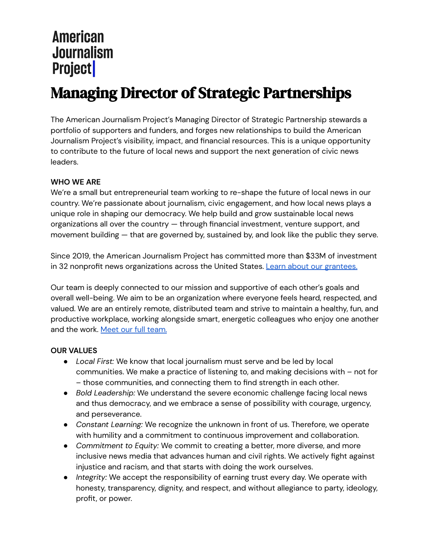# Managing Director of Strategic Partnerships

The American Journalism Project's Managing Director of Strategic Partnership stewards a portfolio of supporters and funders, and forges new relationships to build the American Journalism Project's visibility, impact, and financial resources. This is a unique opportunity to contribute to the future of local news and support the next generation of civic news leaders.

#### **WHO WE ARE**

We're a small but entrepreneurial team working to re-shape the future of local news in our country. We're passionate about journalism, civic engagement, and how local news plays a unique role in shaping our democracy. We help build and grow sustainable local news organizations all over the country — through financial investment, venture support, and movement building — that are governed by, sustained by, and look like the public they serve.

Since 2019, the American Journalism Project has committed more than \$33M of investment in 32 nonprofit news organizations across the United States. Learn about our [grantees.](https://www.theajp.org/our-portfolio/)

Our team is deeply connected to our mission and supportive of each other's goals and overall well-being. We aim to be an organization where everyone feels heard, respected, and valued. We are an entirely remote, distributed team and strive to maintain a healthy, fun, and productive workplace, working alongside smart, energetic colleagues who enjoy one another and the work. Meet our full [team.](http://www.theajp.org/team/)

#### **OUR VALUES**

- *Local First:* We know that local journalism must serve and be led by local communities. We make a practice of listening to, and making decisions with – not for – those communities, and connecting them to find strength in each other.
- *Bold Leadership:* We understand the severe economic challenge facing local news and thus democracy, and we embrace a sense of possibility with courage, urgency, and perseverance.
- *Constant Learning:* We recognize the unknown in front of us. Therefore, we operate with humility and a commitment to continuous improvement and collaboration.
- *Commitment to Equity:* We commit to creating a better, more diverse, and more inclusive news media that advances human and civil rights. We actively fight against injustice and racism, and that starts with doing the work ourselves.
- *Integrity:* We accept the responsibility of earning trust every day. We operate with honesty, transparency, dignity, and respect, and without allegiance to party, ideology, profit, or power.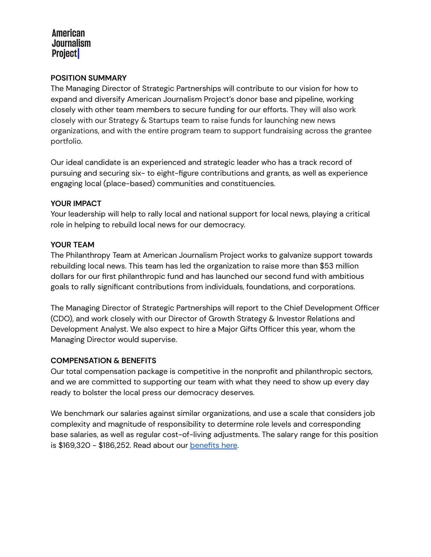#### **POSITION SUMMARY**

The Managing Director of Strategic Partnerships will contribute to our vision for how to expand and diversify American Journalism Project's donor base and pipeline, working closely with other team members to secure funding for our efforts. They will also work closely with our Strategy & Startups team to raise funds for launching new news organizations, and with the entire program team to support fundraising across the grantee portfolio.

Our ideal candidate is an experienced and strategic leader who has a track record of pursuing and securing six- to eight-figure contributions and grants, as well as experience engaging local (place-based) communities and constituencies.

#### **YOUR IMPACT**

Your leadership will help to rally local and national support for local news, playing a critical role in helping to rebuild local news for our democracy.

#### **YOUR TEAM**

The Philanthropy Team at American Journalism Project works to galvanize support towards rebuilding local news. This team has led the organization to raise more than \$53 million dollars for our first philanthropic fund and has launched our second fund with ambitious goals to rally significant contributions from individuals, foundations, and corporations.

The Managing Director of Strategic Partnerships will report to the Chief Development Officer (CDO), and work closely with our Director of Growth Strategy & Investor Relations and Development Analyst. We also expect to hire a Major Gifts Officer this year, whom the Managing Director would supervise.

#### **COMPENSATION & BENEFITS**

Our total compensation package is competitive in the nonprofit and philanthropic sectors, and we are committed to supporting our team with what they need to show up every day ready to bolster the local press our democracy deserves.

We benchmark our salaries against similar organizations, and use a scale that considers job complexity and magnitude of responsibility to determine role levels and corresponding base salaries, as well as regular cost-of-living adjustments. The salary range for this position is \$169,320 - \$186,252. Read about our [benefits](https://www.theajp.org/about/work-with-us/benefits/) here.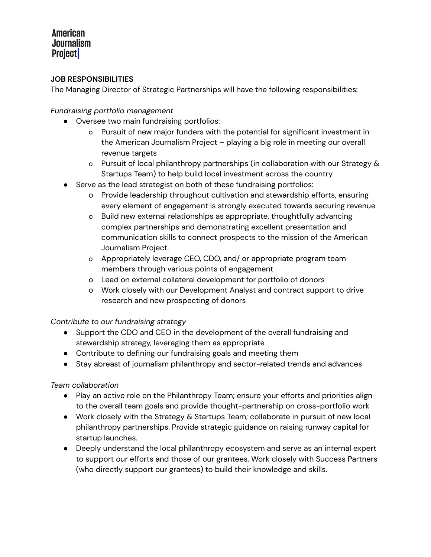#### **JOB RESPONSIBILITIES**

The Managing Director of Strategic Partnerships will have the following responsibilities:

#### *Fundraising portfolio management*

- Oversee two main fundraising portfolios:
	- o Pursuit of new major funders with the potential for significant investment in the American Journalism Project – playing a big role in meeting our overall revenue targets
	- o Pursuit of local philanthropy partnerships (in collaboration with our Strategy & Startups Team) to help build local investment across the country
- Serve as the lead strategist on both of these fundraising portfolios:
	- o Provide leadership throughout cultivation and stewardship efforts, ensuring every element of engagement is strongly executed towards securing revenue
	- o Build new external relationships as appropriate, thoughtfully advancing complex partnerships and demonstrating excellent presentation and communication skills to connect prospects to the mission of the American Journalism Project.
	- o Appropriately leverage CEO, CDO, and/ or appropriate program team members through various points of engagement
	- o Lead on external collateral development for portfolio of donors
	- o Work closely with our Development Analyst and contract support to drive research and new prospecting of donors

#### *Contribute to our fundraising strategy*

- Support the CDO and CEO in the development of the overall fundraising and stewardship strategy, leveraging them as appropriate
- Contribute to defining our fundraising goals and meeting them
- Stay abreast of journalism philanthropy and sector-related trends and advances

#### *Team collaboration*

- Play an active role on the Philanthropy Team; ensure your efforts and priorities align to the overall team goals and provide thought-partnership on cross-portfolio work
- Work closely with the Strategy & Startups Team; collaborate in pursuit of new local philanthropy partnerships. Provide strategic guidance on raising runway capital for startup launches.
- Deeply understand the local philanthropy ecosystem and serve as an internal expert to support our efforts and those of our grantees. Work closely with Success Partners (who directly support our grantees) to build their knowledge and skills.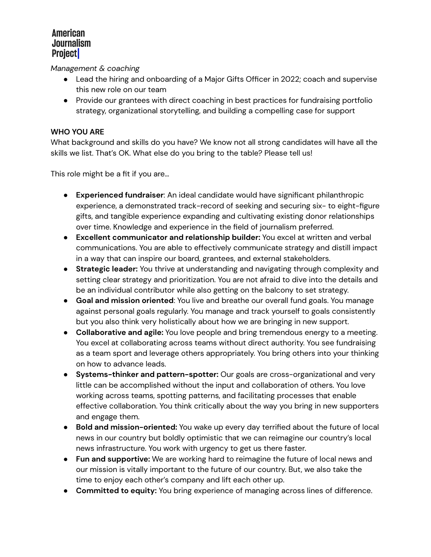*Management & coaching*

- Lead the hiring and onboarding of a Major Gifts Officer in 2022; coach and supervise this new role on our team
- Provide our grantees with direct coaching in best practices for fundraising portfolio strategy, organizational storytelling, and building a compelling case for support

#### **WHO YOU ARE**

What background and skills do you have? We know not all strong candidates will have all the skills we list. That's OK. What else do you bring to the table? Please tell us!

This role might be a fit if you are…

- **Experienced fundraiser**: An ideal candidate would have significant philanthropic experience, a demonstrated track-record of seeking and securing six- to eight-figure gifts, and tangible experience expanding and cultivating existing donor relationships over time. Knowledge and experience in the field of journalism preferred.
- **Excellent communicator and relationship builder:** You excel at written and verbal communications. You are able to effectively communicate strategy and distill impact in a way that can inspire our board, grantees, and external stakeholders.
- **Strategic leader:** You thrive at understanding and navigating through complexity and setting clear strategy and prioritization. You are not afraid to dive into the details and be an individual contributor while also getting on the balcony to set strategy.
- **Goal and mission oriented**: You live and breathe our overall fund goals. You manage against personal goals regularly. You manage and track yourself to goals consistently but you also think very holistically about how we are bringing in new support.
- **Collaborative and agile:** You love people and bring tremendous energy to a meeting. You excel at collaborating across teams without direct authority. You see fundraising as a team sport and leverage others appropriately. You bring others into your thinking on how to advance leads.
- **Systems-thinker and pattern-spotter:** Our goals are cross-organizational and very little can be accomplished without the input and collaboration of others. You love working across teams, spotting patterns, and facilitating processes that enable effective collaboration. You think critically about the way you bring in new supporters and engage them.
- **Bold and mission-oriented:** You wake up every day terrified about the future of local news in our country but boldly optimistic that we can reimagine our country's local news infrastructure. You work with urgency to get us there faster.
- **Fun and supportive:** We are working hard to reimagine the future of local news and our mission is vitally important to the future of our country. But, we also take the time to enjoy each other's company and lift each other up.
- **Committed to equity:** You bring experience of managing across lines of difference.